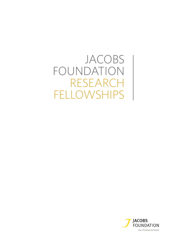JACOBS FOUNDATION RESEARCH FELLOWSHIPS

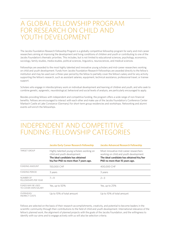#### A GLOBAL FELLOWSHIP PROGRAM FOR RESEARCH ON CHILD AND YOUTH DEVELOPMENT

The Jacobs Foundation Research Fellowship Program is a globally competitive fellowship program for early and mid-career researchers aiming at improving the development and living conditions of children and youth or contributing to one of the Jacobs Foundation's thematic priorities. This includes, but is not limited to educational sciences, psychology, economics, sociology, family studies, media studies, political sciences, linguistics, neurosciences, and medical sciences.

Fellowships are awarded to the most highly talented and innovative young scholars and mid-career researchers working on child and youth development. Funds from Jacobs Foundation Research Fellowships are awarded directly to the fellow's institution and may be used over a three-year period by the fellow to partially cover the fellow's salary and for any activity supporting the fellow's research, such as assistant salaries, equipment, technical assistance, professional travel, or trainee support.

Scholars who engage in interdisciplinary work on individual development and learning of children and youth, and who seek to combine genetic, epigenetic, neurobiological, behavioral and social levels of analysis, are particularly encouraged to apply.

Besides providing fellows with independent and competitive funding, the program offers a wide range of non-financial benefits. Fellows are encouraged to interact with each other and make use of the Jacobs Foundation's Conference Center Marbach Castle at Lake Constance (Germany) for short-term group residencies and workshops. Networking and alumni events will enrich the fellowships.

### INDEPENDENT AND COMPETITIVE FUNDING: FELLOWSHIP CATEGORIES

|                                          | <b>Jacobs Early Career Research Fellowship</b>                                                                                                         | <b>Jacobs Advanced Research Fellowship</b>                                                                                                                      |  |
|------------------------------------------|--------------------------------------------------------------------------------------------------------------------------------------------------------|-----------------------------------------------------------------------------------------------------------------------------------------------------------------|--|
| <b>TARGET GROUP</b>                      | Highly talented young scholars working on<br>child and youth development.<br>The ideal candidate has obtained<br>his/her PhD no more than 7 years ago. | Most innovative mid-career researchers<br>working on child and youth development.<br>The ideal candidate has obtained his/her<br>PhD no more than 15 years ago. |  |
| <b>FUNDING AMOUNT</b>                    | 150,000 CHF                                                                                                                                            | 400,000 CHF                                                                                                                                                     |  |
| <b>FUNDING PERIOD</b>                    | 3 years                                                                                                                                                | 3 years                                                                                                                                                         |  |
| NUMBER OF<br>FELLOWSHIPS PER YEAR        | $2 - 3$<br>$7 - 11$                                                                                                                                    |                                                                                                                                                                 |  |
| FUNDS MAY BE USED<br>TO COVER OWN SALARY | Yes, up to 50%                                                                                                                                         | Yes, up to 25%                                                                                                                                                  |  |
| OVERHEAD/<br><b>INDIRECT COSTS</b>       | Up to 10% of total amount                                                                                                                              | Up to 10% of total amount                                                                                                                                       |  |

Fellows are selected on the basis of their research accomplishments, creativity, and potential to become leaders in the scientific community through their contributions to the field of child and youth development. International relevance of the fellow's planned work, the alignment of planned projects with the goals of the Jacobs Foundation, and the willingness to identify with our aims and to engage actively with us will also be selection criteria.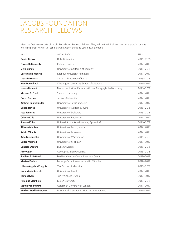#### JACOBS FOUNDATION RESEARCH FELLOWS

Meet the first two cohorts of Jacobs Foundation Research Fellows. They will be the initial members of a growing unique interdisciplinary network of scholars working on child and youth development:

| <b>NAME</b>                  | ORGANIZATION                                                 | <b>TERM</b>   |
|------------------------------|--------------------------------------------------------------|---------------|
| <b>Daniel Belsky</b>         | Duke University                                              | $2016 - 2018$ |
| <b>Elizabeth Bonawitz</b>    | Rutgers Unviersity                                           | 2017-2019     |
| Silvia Bunge                 | University of California at Berkeley                         | 2016-2018     |
| Carolina de Weerth           | Radboud University Nijmegen                                  | 2017-2019     |
| Laura Di Giunta              | Sapienza University of Rome                                  | 2016-2018     |
| Nico Dosenbach               | Washington University School of Medicine                     | 2017-2019     |
| <b>Hanna Dumont</b>          | Deutsches Institut für Internationale Pädagogische Forschung | 2016-2018     |
| <b>Michael C. Frank</b>      | Stanford University                                          | 2017-2019     |
| <b>Goren Gordon</b>          | Tel-Aviv University                                          | 2017-2019     |
| Kathryn Paige Harden         | University of Texas at Austin                                | 2017-2019     |
| <b>Gillian Hayes</b>         | University of California, Irvine                             | $2016 - 2018$ |
| Kaja Jasinska                | University of Delaware                                       | 2016-2018     |
| Celeste Kidd                 | University of Rochester                                      | 2017-2019     |
| Simone Kühn                  | Universitätsklinikum Hamburg Eppendorf                       | 2016-2018     |
| <b>Allyson Mackey</b>        | University of Pennsylvania                                   | 2017-2019     |
| Katrin Männik                | University of Lausanne                                       | 2017-2019     |
| <b>Kate McLaughlin</b>       | University of Washington                                     | 2016-2018     |
| <b>Colter Mitchell</b>       | University of Michigan                                       | 2017-2019     |
| <b>Candice Odgers</b>        | Duke University                                              | 2016-2018     |
| Amy Ogan                     | Carnegie Mellon University                                   | 2016-2018     |
| Siobhan S. Pattwell          | Fred Hutchinson Cancer Research Center                       | 2017-2019     |
| <b>Markus Paulus</b>         | Ludwig-Maximilians-Universität München                       | 2017-2019     |
| Liliana Angelica Ponguta     | Yale School of Medicine                                      | 2016-2018     |
| Nora Maria Raschle           | University of Basel                                          | 2017-2019     |
| <b>Tomás Ryan</b>            | Trinity College Dublin                                       | 2017-2019     |
| <b>Nikolaus Steinbeis</b>    | Leiden University                                            | 2016-2018     |
| Sophie von Stumm             | Goldsmith University of London                               | 2017-2019     |
| <b>Markus Werkle-Bergner</b> | Max Planck Institute for Human Development                   | 2017-2019     |